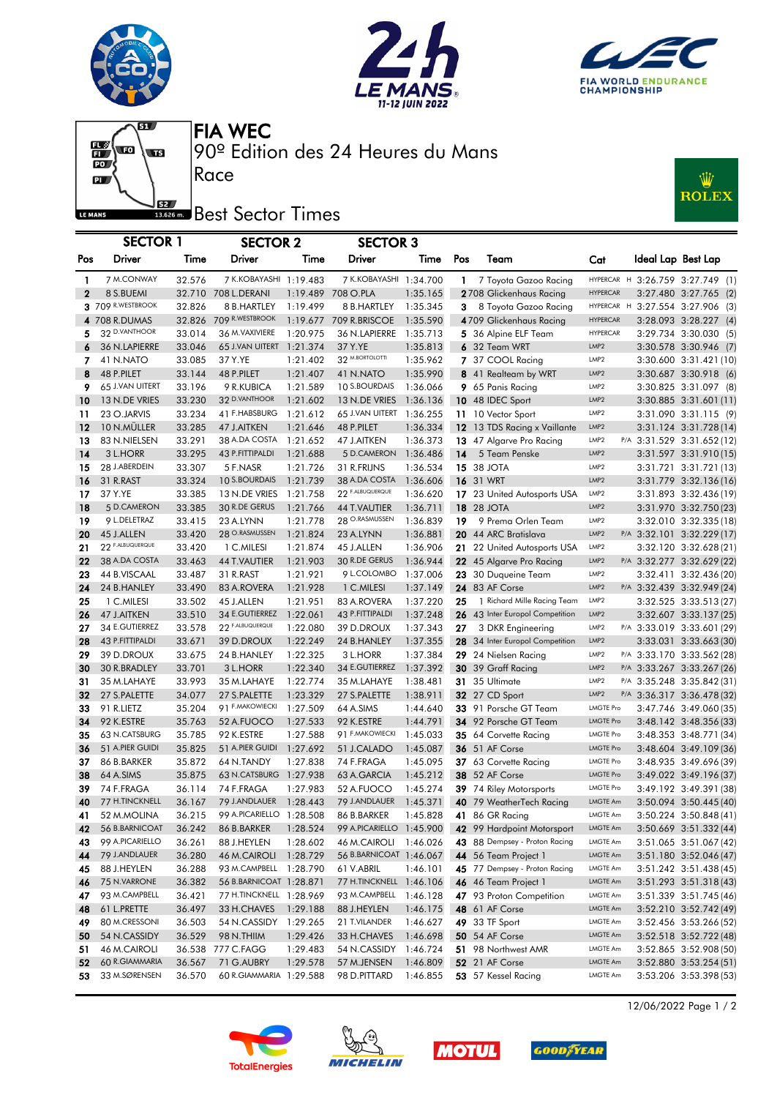





Ŵ

**ROLEX** 

 $\overline{\mathbf{g}}$  $\frac{1}{10}$ ί  $\mathbf{p}$ LE MANS

I

I

I

90º Edition des 24 Heures du Mans FIA WEC

## **Best** Sector Times

Race

|              | <b>SECTOR 1</b>            |                  | <b>SECTOR 2</b>             |                      | <b>SECTOR 3</b>            |                      |              |                                                |                          |                                                          |                        |  |
|--------------|----------------------------|------------------|-----------------------------|----------------------|----------------------------|----------------------|--------------|------------------------------------------------|--------------------------|----------------------------------------------------------|------------------------|--|
| Pos          | Driver                     | Time             | Driver                      | Time                 | Driver                     | Time                 | Pos          | Team                                           | Cat                      | Ideal Lap Best Lap                                       |                        |  |
| $\mathbf{1}$ | 7 M.CONWAY                 | 32.576           | 7 K.KOBAYASHI 1:19.483      |                      | 7 K.KOBAYASHI 1:34.700     |                      | $\mathbf{1}$ | 7 Toyota Gazoo Racing                          |                          | HYPERCAR H 3:26.759 3:27.749 (1)                         |                        |  |
| 2            | 8 S.BUEMI                  |                  | 32.710 708 L.DERANI         | 1:19.489             | 708 O.PLA                  | 1:35.165             |              | 2708 Glickenhaus Racing                        | <b>HYPERCAR</b>          |                                                          | 3:27.480 3:27.765 (2)  |  |
|              | 3 709 R.WESTBROOK          | 32.826           | 8 B.HARTLEY                 | 1:19.499             | 8 B.HARTLEY                | 1:35.345             | 3.           | 8 Toyota Gazoo Racing                          | HYPERCAR H               | 3:27.554 3:27.906 (3)                                    |                        |  |
|              | 4 708 R.DUMAS              |                  | 32.826 709 R.WESTBROOK      | 1:19.677             | 709 R.BRISCOE              | 1:35.590             |              | 4709 Glickenhaus Racing                        | <b>HYPERCAR</b>          |                                                          | 3:28.093 3:28.227 (4)  |  |
| 5            | 32 D.VANTHOOR              | 33.014           | 36 M.VAXIVIERE              | 1:20.975             | 36 N.LAPIERRE              | 1:35.713             |              | 5 36 Alpine ELF Team                           | <b>HYPERCAR</b>          |                                                          | 3:29.734 3:30.030 (5)  |  |
| 6            | 36 N.LAPIERRE              | 33.046           | 65 J.VAN UITERT             | 1:21.374             | 37 Y.YE                    | 1:35.813             |              | 6 32 Team WRT                                  | LMP <sub>2</sub>         | 3:30.578 3:30.946 (7)                                    |                        |  |
| 7            | 41 N.NATO                  | 33.085           | 37 Y.YE                     | 1:21.402             | 32 M.BORTOLOTTI            | 1:35.962             |              | 7 37 COOL Racing                               | LMP <sub>2</sub>         | 3:30.600 3:31.421 (10)                                   |                        |  |
| 8            | 48 P.PILET                 | 33.144           | 48 P.PILET                  | 1:21.407             | 41 N.NATO                  | 1:35.990             |              | 8 41 Realteam by WRT                           | LMP <sub>2</sub>         | 3:30.687 3:30.918 (6)                                    |                        |  |
| 9            | 65 J.VAN UITERT            | 33.196           | 9 R.KUBICA                  | 1:21.589             | 10 S.BOURDAIS              | 1:36.066             |              | 9 65 Panis Racing                              | LMP2                     | 3:30.825 3:31.097 (8)                                    |                        |  |
| 10           | 13 N.DE VRIES              | 33.230           | 32 D.VANTHOOR               | 1:21.602             | 13 N.DE VRIES              | 1:36.136             |              | 10 48 IDEC Sport                               | LMP <sub>2</sub>         | 3:30.885 3:31.601 (11)                                   |                        |  |
| 11           | 23 O.JARVIS                | 33.234           | 41 F.HABSBURG               | 1:21.612             | 65 J.VAN UITERT            | 1:36.255             |              | 11 10 Vector Sport                             | LMP <sub>2</sub>         | 3:31.090 3:31.115 (9)                                    |                        |  |
| 12           | 10 N.MULLER                | 33.285           | 47 J.AITKEN                 | 1:21.646             | 48 P.PILET                 | 1:36.334             |              | 12 13 TDS Racing x Vaillante                   | LMP <sub>2</sub>         | 3:31.124 3:31.728 (14)                                   |                        |  |
| 13           | 83 N.NIELSEN               | 33.291           | 38 A.DA COSTA               | 1:21.652             | 47 J.AITKEN                | 1:36.373             |              | 13 47 Algarve Pro Racing                       | LMP2                     | P/A 3:31.529 3:31.652 (12)                               |                        |  |
| 14           | 3 L.HORR                   | 33.295           | 43 P.FITTIPALDI             | 1:21.688             | 5 D.CAMERON                | 1:36.486             | 14           | 5 Team Penske                                  | LMP2                     | 3:31.597 3:31.910 (15)                                   |                        |  |
| 15           | 28 J.ABERDEIN              | 33.307           | 5 F.NASR                    | 1:21.726             | 31 R.FRIJNS                | 1:36.534             |              | <b>15 38 JOTA</b>                              | LMP <sub>2</sub>         | 3:31.721 3:31.721 (13)                                   |                        |  |
| 16           | 31 R.RAST                  | 33.324           | 10 S.BOURDAIS               | 1:21.739             | 38 A.DA COSTA              | 1:36.606             |              | <b>16</b> 31 WRT                               | LMP <sub>2</sub>         | 3:31.779 3:32.136 (16)                                   |                        |  |
| 17           | 37 Y.YE                    | 33.385           | 13 N.DE VRIES               | 1:21.758             | 22 F.ALBUQUERQUE           | 1:36.620             |              | 17 23 United Autosports USA                    | LMP <sub>2</sub>         | 3:31.893 3:32.436 (19)                                   |                        |  |
| 18           | 5 D.CAMERON                | 33.385           | 30 R.DE GERUS               | 1:21.766             | <b>44 T.VAUTIER</b>        | 1:36.711             |              | <b>18</b> 28 JOTA                              | LMP <sub>2</sub>         | 3:31.970 3:32.750 (23)                                   |                        |  |
| 19           | 9 L.DELETRAZ               | 33.415           | 23 A.LYNN                   | 1:21.778             | 28 O.RASMUSSEN             | 1:36.839             | 19           | 9 Prema Orlen Team                             | LMP <sub>2</sub>         | 3:32.010 3:32.335 (18)                                   |                        |  |
| 20           | 45 J.ALLEN                 | 33.420           | 28 O.RASMUSSEN              | 1:21.824             | 23 A.LYNN                  | 1:36.881             |              | 20 44 ARC Bratislava                           | LMP <sub>2</sub>         | P/A 3:32.101 3:32.229 (17)                               |                        |  |
| 21           | 22 F.ALBUQUERQUE           | 33.420           | 1 C.MILESI                  | 1:21.874             | 45 J.ALLEN                 | 1:36.906             |              | 21 22 United Autosports USA                    | LMP2                     | 3:32.120 3:32.628 (21)                                   |                        |  |
| 22           | 38 A.DA COSTA              | 33.463           | <b>44 T.VAUTIER</b>         | 1:21.903             | 30 R.DE GERUS              | 1:36.944             |              | 22 45 Algarve Pro Racing                       | LMP2                     | P/A 3:32.277 3:32.629 (22)                               |                        |  |
| 23           | 44 B.VISCAAL               | 33.487           | 31 R.RAST                   | 1:21.921             | 9 L.COLOMBO                | 1:37.006             |              | 23 30 Duqueine Team                            | LMP <sub>2</sub>         |                                                          | 3:32.411 3:32.436 (20) |  |
| 24           | 24 B.HANLEY                | 33.490           | 83 A.ROVERA                 | 1:21.928             | 1 C.MILESI                 | 1:37.149             |              | <b>24</b> 83 AF Corse                          | LMP <sub>2</sub>         | P/A 3:32.439 3:32.949 (24)                               |                        |  |
| 25           | 1 C.MILESI                 | 33.502           | 45 J.ALLEN                  | 1:21.951             | 83 A.ROVERA                | 1:37.220             | 25           | 1 Richard Mille Racing Team                    | LMP <sub>2</sub>         | 3:32.525 3:33.513 (27)                                   |                        |  |
| 26           | 47 J.AITKEN                | 33.510           | 34 E.GUTIERREZ              | 1:22.061             | 43 P.FITTIPALDI            | 1:37.248             |              | 26 43 Inter Europol Competition                | LMP2                     |                                                          | 3:32.607 3:33.137 (25) |  |
| 27           | 34 E.GUTIERREZ             | 33.578           | 22 F.ALBUQUERQUE            | 1:22.080             | 39 D.DROUX                 | 1:37.343             | 27           | 3 DKR Engineering                              | LMP <sub>2</sub>         | P/A 3:33.019 3:33.601 (29)                               |                        |  |
| 28           | 43 P.FITTIPALDI            | 33.671           | 39 D.DROUX                  | 1:22.249             | 24 B.HANLEY                | 1:37.355             |              | 28 34 Inter Europol Competition                | LMP2<br>LMP <sub>2</sub> |                                                          | 3:33.031 3:33.663 (30) |  |
| 29           | 39 D.DROUX                 | 33.675           | 24 B.HANLEY                 | 1:22.325             | 3 L.HORR<br>34 E.GUTIERREZ | 1:37.384             |              | 29 24 Nielsen Racing                           | LMP <sub>2</sub>         | P/A 3:33.170 3:33.562 (28)                               |                        |  |
| 30           | 30 R.BRADLEY               | 33.701           | 3 L.HORR                    | 1:22.340             |                            | 1:37.392             |              | 30 39 Graff Racing<br>31 35 Ultimate           | LMP2                     | P/A 3:33.267 3:33.267 (26)                               |                        |  |
| 31<br>32     | 35 M.LAHAYE                | 33.993           | 35 M.LAHAYE<br>27 S.PALETTE | 1:22.774             | 35 M.LAHAYE                | 1:38.481             |              |                                                | LMP <sub>2</sub>         | P/A 3:35.248 3:35.842 (31)<br>P/A 3:36.317 3:36.478 (32) |                        |  |
| 33           | 27 S.PALETTE<br>91 R.LIETZ | 34.077<br>35.204 | 91 F.MAKOWIECKI             | 1:23.329<br>1:27.509 | 27 S.PALETTE<br>64 A.SIMS  | 1:38.911<br>1:44.640 |              | <b>32</b> 27 CD Sport<br>33 91 Porsche GT Team | <b>LMGTE Pro</b>         | 3:47.746 3:49.060 (35)                                   |                        |  |
| 34           | 92 K.ESTRE                 | 35.763           | 52 A.FUOCO                  | 1:27.533             | 92 K.ESTRE                 | 1:44.791             |              | 34 92 Porsche GT Team                          | <b>LMGTE Pro</b>         | 3:48.142 3:48.356 (33)                                   |                        |  |
| 35           | 63 N.CATSBURG              | 35.785           | 92 K.ESTRE                  | 1:27.588             | 91 F.MAKOWIECKI            | 1:45.033             |              | 35 64 Corvette Racing                          | LMGTE Pro                | 3:48.353 3:48.771 (34)                                   |                        |  |
| 36           | 51 A.PIER GUIDI            | 35.825           | 51 A.PIER GUIDI             | 1:27.692             | 51 J.CALADO                | 1:45.087             |              | <b>36</b> 51 AF Corse                          | <b>LMGTE Pro</b>         | 3:48.604 3:49.109 (36)                                   |                        |  |
| 37           | 86 B.BARKER                | 35.872           | 64 N.TANDY                  | 1:27.838             | 74 F.FRAGA                 | 1:45.095             |              | 37 63 Corvette Racing                          | <b>LMGTE Pro</b>         | 3:48.935 3:49.696 (39)                                   |                        |  |
| 38           | 64 A.SIMS                  | 35.875           | 63 N.CATSBURG 1:27.938      |                      | 63 A.GARCIA                | 1:45.212             |              | <b>38</b> 52 AF Corse                          | <b>LMGTE Pro</b>         | 3:49.022 3:49.196 (37)                                   |                        |  |
| 39           | 74 F.FRAGA                 | 36.114           | 74 F.FRAGA                  | 1:27.983             | 52 A.FUOCO                 | 1:45.274             |              | 39 74 Riley Motorsports                        | <b>LMGTE Pro</b>         |                                                          | 3:49.192 3:49.391 (38) |  |
| 40           | 77 H.TINCKNELL             | 36.167           | 79 J.ANDLAUER  1:28.443     |                      | 79 J.ANDLAUER              | 1:45.371             |              | 40 79 WeatherTech Racing                       | LMGTE Am                 | 3:50.094 3:50.445 (40)                                   |                        |  |
| 41           | 52 M.MOLINA                | 36.215           | 99 A.PICARIELLO 1:28.508    |                      | 86 B.BARKER                | 1:45.828             |              | 41 86 GR Racing                                | LMGTE Am                 |                                                          | 3:50.224 3:50.848 (41) |  |
| 42           | 56 B.BARNICOAT             | 36.242           | 86 B.BARKER                 | 1:28.524             | 99 A.PICARIELLO 1:45.900   |                      |              | 42 99 Hardpoint Motorsport                     | <b>LMGTE Am</b>          |                                                          | 3:50.669 3:51.332 (44) |  |
| 43           | 99 A.PICARIELLO            | 36.261           | 88 J.HEYLEN                 | 1:28.602             | 46 M.CAIROLI               | 1:46.026             |              | 43 88 Dempsey - Proton Racing                  | LMGTE Am                 |                                                          | 3:51.065 3:51.067 (42) |  |
| 44           | 79 J.ANDLAUER              | 36.280           | 46 M.CAIROLI                | 1:28.729             | 56 B.BARNICOAT 1:46.067    |                      |              | 44 56 Team Project 1                           | LMGTE Am                 |                                                          | 3:51.180 3:52.046 (47) |  |
| 45           | 88 J.HEYLEN                | 36.288           | 93 M.CAMPBELL 1:28.790      |                      | 61 V.ABRIL                 | 1:46.101             |              | 45 77 Dempsey - Proton Racing                  | LMGTE Am                 |                                                          | 3:51.242 3:51.438 (45) |  |
| 46           | 75 N.VARRONE               | 36.382           | 56 B.BARNICOAT 1:28.871     |                      | 77 H.TINCKNELL 1:46.106    |                      |              | 46 46 Team Project 1                           | LMGTE Am                 |                                                          | 3:51.293 3:51.318 (43) |  |
| 47           | 93 M.CAMPBELL              | 36.421           | 77 H.TINCKNELL 1:28.969     |                      | 93 M.CAMPBELL              | 1:46.128             |              | 47 93 Proton Competition                       | LMGTE Am                 |                                                          | 3:51.339 3:51.745 (46) |  |
| 48           | 61 L.PRETTE                | 36.497           | 33 H.CHAVES                 | 1:29.188             | 88 J.HEYLEN                | 1:46.175             |              | 48 61 AF Corse                                 | LMGTE Am                 |                                                          | 3:52.210 3:52.742 (49) |  |
| 49           | 80 M.CRESSONI              | 36.503           | 54 N.CASSIDY 1:29.265       |                      | 21 T.VILANDER              | 1:46.627             |              | <b>49</b> 33 TF Sport                          | LMGTE Am                 |                                                          | 3:52.456 3:53.266 (52) |  |
| 50           | 54 N.CASSIDY               | 36.529           | 98 N.THIIM                  | 1:29.426             | 33 H.CHAVES                | 1:46.698             |              | 50 54 AF Corse                                 | LMGTE Am                 |                                                          | 3:52.518 3:52.722 (48) |  |
| 51           | 46 M.CAIROLI               | 36.538           | 777 C.FAGG                  | 1:29.483             | 54 N.CASSIDY               | 1:46.724             |              | 51 98 Northwest AMR                            | LMGTE Am                 |                                                          | 3:52.865 3:52.908 (50) |  |
| 52           | 60 R.GIAMMARIA             | 36.567           | 71 G.AUBRY                  | 1:29.578             | 57 M.JENSEN                | 1:46.809             |              | 52 21 AF Corse                                 | LMGTE Am                 |                                                          | 3:52.880 3:53.254 (51) |  |
| 53           | 33 M.SØRENSEN              | 36.570           | 60 R.GIAMMARIA 1:29.588     |                      | 98 D.PITTARD               | 1:46.855             |              | 53 57 Kessel Racing                            | LMGTE Am                 |                                                          | 3:53.206 3:53.398 (53) |  |









12/06/2022 Page 1 / 2